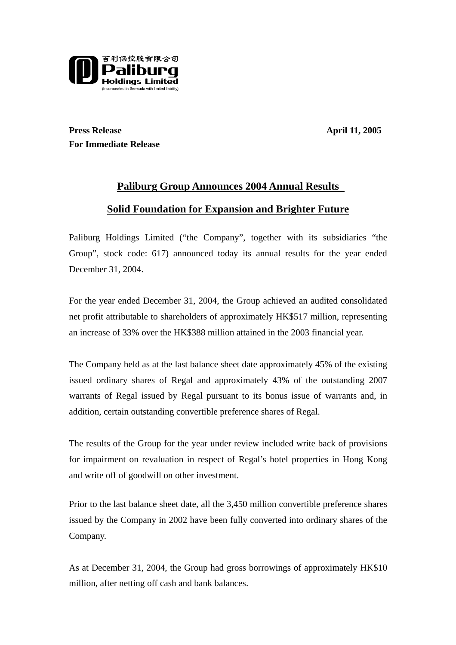

**Press Release** April 11, 2005 **For Immediate Release**

# **Paliburg Group Announces 2004 Annual Results Solid Foundation for Expansion and Brighter Future**

Paliburg Holdings Limited ("the Company", together with its subsidiaries "the Group", stock code: 617) announced today its annual results for the year ended December 31, 2004.

For the year ended December 31, 2004, the Group achieved an audited consolidated net profit attributable to shareholders of approximately HK\$517 million, representing an increase of 33% over the HK\$388 million attained in the 2003 financial year.

The Company held as at the last balance sheet date approximately 45% of the existing issued ordinary shares of Regal and approximately 43% of the outstanding 2007 warrants of Regal issued by Regal pursuant to its bonus issue of warrants and, in addition, certain outstanding convertible preference shares of Regal.

The results of the Group for the year under review included write back of provisions for impairment on revaluation in respect of Regal's hotel properties in Hong Kong and write off of goodwill on other investment.

Prior to the last balance sheet date, all the 3,450 million convertible preference shares issued by the Company in 2002 have been fully converted into ordinary shares of the Company.

As at December 31, 2004, the Group had gross borrowings of approximately HK\$10 million, after netting off cash and bank balances.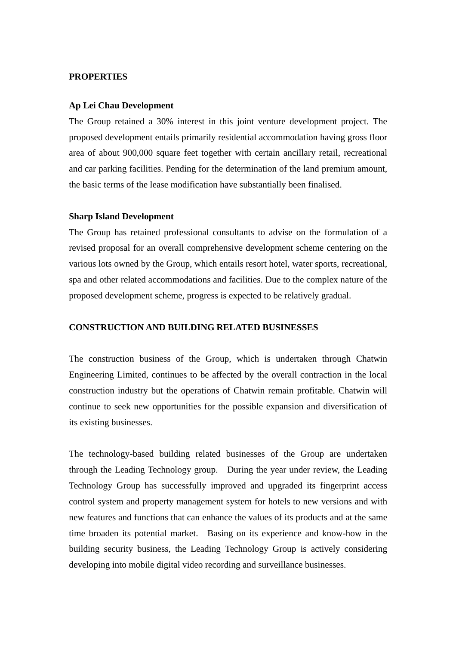### **PROPERTIES**

### **Ap Lei Chau Development**

The Group retained a 30% interest in this joint venture development project. The proposed development entails primarily residential accommodation having gross floor area of about 900,000 square feet together with certain ancillary retail, recreational and car parking facilities. Pending for the determination of the land premium amount, the basic terms of the lease modification have substantially been finalised.

#### **Sharp Island Development**

The Group has retained professional consultants to advise on the formulation of a revised proposal for an overall comprehensive development scheme centering on the various lots owned by the Group, which entails resort hotel, water sports, recreational, spa and other related accommodations and facilities. Due to the complex nature of the proposed development scheme, progress is expected to be relatively gradual.

# **CONSTRUCTION AND BUILDING RELATED BUSINESSES**

The construction business of the Group, which is undertaken through Chatwin Engineering Limited, continues to be affected by the overall contraction in the local construction industry but the operations of Chatwin remain profitable. Chatwin will continue to seek new opportunities for the possible expansion and diversification of its existing businesses.

The technology-based building related businesses of the Group are undertaken through the Leading Technology group. During the year under review, the Leading Technology Group has successfully improved and upgraded its fingerprint access control system and property management system for hotels to new versions and with new features and functions that can enhance the values of its products and at the same time broaden its potential market. Basing on its experience and know-how in the building security business, the Leading Technology Group is actively considering developing into mobile digital video recording and surveillance businesses.